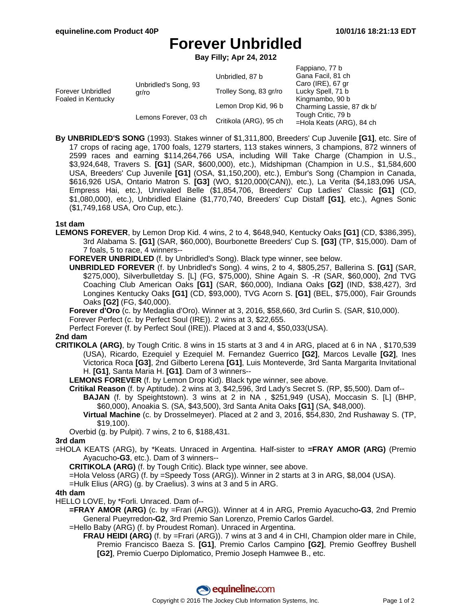Fappiano, 77 b

# **Forever Unbridled**

**Bay Filly; Apr 24, 2012**

|                                                |                               |                        | rappiano, <i>n</i>        |
|------------------------------------------------|-------------------------------|------------------------|---------------------------|
| <b>Forever Unbridled</b><br>Foaled in Kentucky | Unbridled's Song, 93<br>ar/ro | Unbridled, 87 b        | Gana Facil, 81 ch         |
|                                                |                               |                        | Caro (IRE), 67 gr         |
|                                                |                               | Trolley Song, 83 gr/ro | Lucky Spell, 71 b         |
|                                                |                               |                        | Kingmambo, 90 b           |
|                                                |                               | Lemon Drop Kid, 96 b   | Charming Lassie, 87 dk b/ |
|                                                | Lemons Forever, 03 ch         | Critikola (ARG), 95 ch | Tough Critic, 79 b        |
|                                                |                               |                        | =Hola Keats (ARG), 84 ch  |

**By UNBRIDLED'S SONG** (1993). Stakes winner of \$1,311,800, Breeders' Cup Juvenile **[G1]**, etc. Sire of 17 crops of racing age, 1700 foals, 1279 starters, 113 stakes winners, 3 champions, 872 winners of 2599 races and earning \$114,264,766 USA, including Will Take Charge (Champion in U.S., \$3,924,648, Travers S. **[G1]** (SAR, \$600,000), etc.), Midshipman (Champion in U.S., \$1,584,600 USA, Breeders' Cup Juvenile **[G1]** (OSA, \$1,150,200), etc.), Embur's Song (Champion in Canada, \$616,926 USA, Ontario Matron S. **[G3]** (WO, \$120,000(CAN)), etc.), La Verita (\$4,183,096 USA, Empress Hai, etc.), Unrivaled Belle (\$1,854,706, Breeders' Cup Ladies' Classic **[G1]** (CD, \$1,080,000), etc.), Unbridled Elaine (\$1,770,740, Breeders' Cup Distaff **[G1]**, etc.), Agnes Sonic (\$1,749,168 USA, Oro Cup, etc.).

### **1st dam**

**LEMONS FOREVER**, by Lemon Drop Kid. 4 wins, 2 to 4, \$648,940, Kentucky Oaks **[G1]** (CD, \$386,395), 3rd Alabama S. **[G1]** (SAR, \$60,000), Bourbonette Breeders' Cup S. **[G3]** (TP, \$15,000). Dam of 7 foals, 5 to race, 4 winners--

**FOREVER UNBRIDLED** (f. by Unbridled's Song). Black type winner, see below.

**UNBRIDLED FOREVER** (f. by Unbridled's Song). 4 wins, 2 to 4, \$805,257, Ballerina S. **[G1]** (SAR, \$275,000), Silverbulletday S. [L] (FG, \$75,000), Shine Again S. -R (SAR, \$60,000), 2nd TVG Coaching Club American Oaks **[G1]** (SAR, \$60,000), Indiana Oaks **[G2]** (IND, \$38,427), 3rd Longines Kentucky Oaks **[G1]** (CD, \$93,000), TVG Acorn S. **[G1]** (BEL, \$75,000), Fair Grounds Oaks **[G2]** (FG, \$40,000).

**Forever d'Oro** (c. by Medaglia d'Oro). Winner at 3, 2016, \$58,660, 3rd Curlin S. (SAR, \$10,000).

Forever Perfect (c. by Perfect Soul (IRE)). 2 wins at 3, \$22,655.

Perfect Forever (f. by Perfect Soul (IRE)). Placed at 3 and 4, \$50,033(USA).

### **2nd dam**

**CRITIKOLA (ARG)**, by Tough Critic. 8 wins in 15 starts at 3 and 4 in ARG, placed at 6 in NA , \$170,539 (USA), Ricardo, Ezequiel y Ezequiel M. Fernandez Guerrico **[G2]**, Marcos Levalle **[G2]**, Ines Victorica Roca **[G3]**, 2nd Gilberto Lerena **[G1]**, Luis Monteverde, 3rd Santa Margarita Invitational H. **[G1]**, Santa Maria H. **[G1]**. Dam of 3 winners--

**LEMONS FOREVER** (f. by Lemon Drop Kid). Black type winner, see above.

- **Critikal Reason** (f. by Aptitude). 2 wins at 3, \$42,596, 3rd Lady's Secret S. (RP, \$5,500). Dam of-- **BAJAN** (f. by Speightstown). 3 wins at 2 in NA , \$251,949 (USA), Moccasin S. [L] (BHP, \$60,000), Anoakia S. (SA, \$43,500), 3rd Santa Anita Oaks **[G1]** (SA, \$48,000).
	- **Virtual Machine** (c. by Drosselmeyer). Placed at 2 and 3, 2016, \$54,830, 2nd Rushaway S. (TP, \$19,100).

Overbid (g. by Pulpit). 7 wins, 2 to 6, \$188,431.

### **3rd dam**

=HOLA KEATS (ARG), by \*Keats. Unraced in Argentina. Half-sister to **=FRAY AMOR (ARG)** (Premio Ayacucho**-G3**, etc.). Dam of 3 winners--

**CRITIKOLA (ARG)** (f. by Tough Critic). Black type winner, see above.

=Hola Veloss (ARG) (f. by =Speedy Toss (ARG)). Winner in 2 starts at 3 in ARG, \$8,004 (USA).

=Hulk Elius (ARG) (g. by Craelius). 3 wins at 3 and 5 in ARG.

### **4th dam**

HELLO LOVE, by \*Forli. Unraced. Dam of--

**=FRAY AMOR (ARG)** (c. by =Frari (ARG)). Winner at 4 in ARG, Premio Ayacucho**-G3**, 2nd Premio General Pueyrredon**-G2**, 3rd Premio San Lorenzo, Premio Carlos Gardel.

=Hello Baby (ARG) (f. by Proudest Roman). Unraced in Argentina.

**FRAU HEIDI (ARG)** (f. by =Frari (ARG)). 7 wins at 3 and 4 in CHI, Champion older mare in Chile, Premio Francisco Baeza S. **[G1]**, Premio Carlos Campino **[G2]**, Premio Geoffrey Bushell **[G2]**, Premio Cuerpo Diplomatico, Premio Joseph Hamwee B., etc.